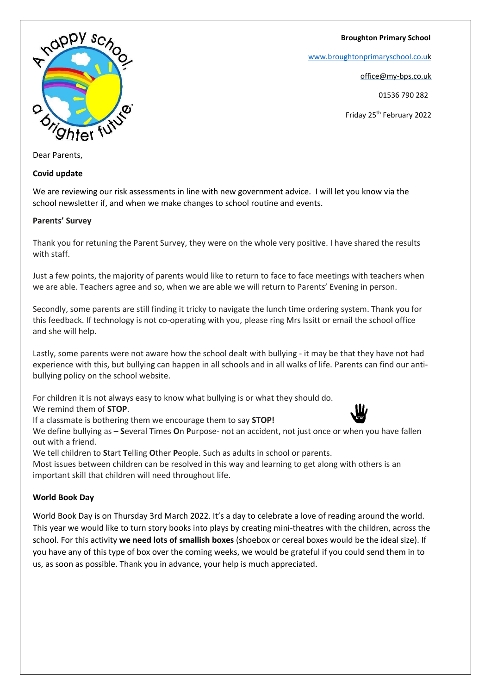**Broughton Primary School**

[www.broughtonprimaryschool.co.u](http://www.broughtonprimaryschool.co.u/)[k](http://www.broughtonprimaryschool.co.uk/)

office@my-bps.co.uk

01536 790 282

Friday 25th February 2022



Dear Parents,

### **Covid update**

We are reviewing our risk assessments in line with new government advice. I will let you know via the school newsletter if, and when we make changes to school routine and events.

### **Parents' Survey**

Thank you for retuning the Parent Survey, they were on the whole very positive. I have shared the results with staff.

Just a few points, the majority of parents would like to return to face to face meetings with teachers when we are able. Teachers agree and so, when we are able we will return to Parents' Evening in person.

Secondly, some parents are still finding it tricky to navigate the lunch time ordering system. Thank you for this feedback. If technology is not co-operating with you, please ring Mrs Issitt or email the school office and she will help.

Lastly, some parents were not aware how the school dealt with bullying - it may be that they have not had experience with this, but bullying can happen in all schools and in all walks of life. Parents can find our antibullying policy on the school website.

For children it is not always easy to know what bullying is or what they should do.

We remind them of **STOP**.

If a classmate is bothering them we encourage them to say **STOP!**

We define bullying as – **S**everal **T**imes **O**n **P**urpose- not an accident, not just once or when you have fallen out with a friend.

We tell children to **S**tart **T**elling **O**ther **P**eople. Such as adults in school or parents.

Most issues between children can be resolved in this way and learning to get along with others is an important skill that children will need throughout life.

## **World Book Day**

World Book Day is on Thursday 3rd March 2022. It's a day to celebrate a love of reading around the world. This year we would like to turn story books into plays by creating mini-theatres with the children, across the school. For this activity **we need lots of smallish boxes** (shoebox or cereal boxes would be the ideal size). If you have any of this type of box over the coming weeks, we would be grateful if you could send them in to us, as soon as possible. Thank you in advance, your help is much appreciated.